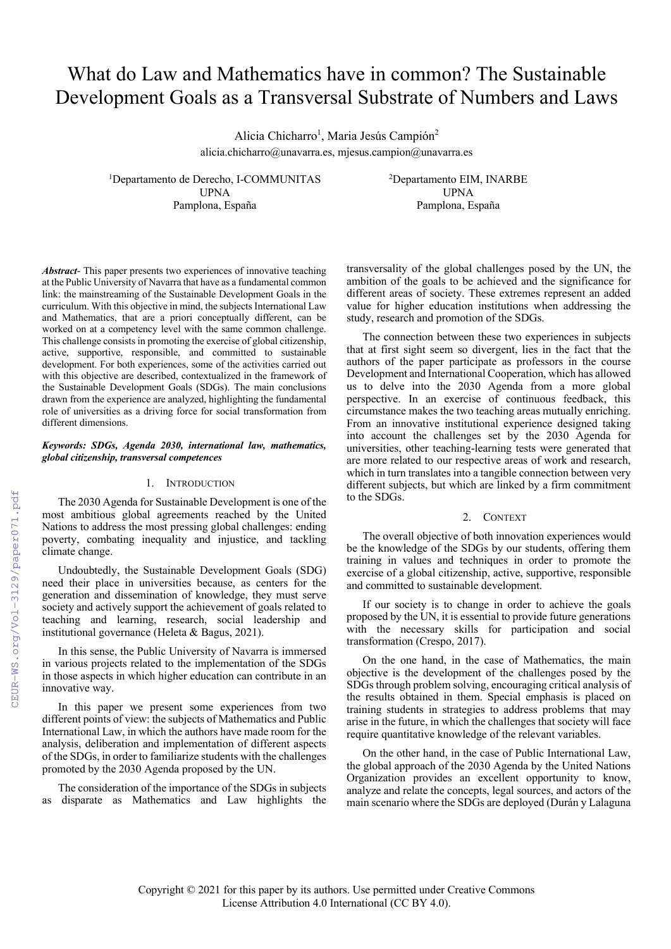# What do Law and Mathematics have in common? The Sustainable Development Goals as a Transversal Substrate of Numbers and Laws

Alicia Chicharro<sup>1</sup>, Maria Jesús Campión<sup>2</sup> alicia.chicharro@unavarra.es, mjesus.campion@unavarra.es

<sup>1</sup>Departamento de Derecho, I-COMMUNITAS<sup>2</sup> UPNA UPNA Pamplona, España Pamplona, España

Departamento EIM, INARBE

*Abstract*- This paper presents two experiences of innovative teaching at the Public University of Navarra that have as a fundamental common link: the mainstreaming of the Sustainable Development Goals in the curriculum. With this objective in mind, the subjects International Law and Mathematics, that are a priori conceptually different, can be worked on at a competency level with the same common challenge. This challenge consists in promoting the exercise of global citizenship, active, supportive, responsible, and committed to sustainable development. For both experiences, some of the activities carried out with this objective are described, contextualized in the framework of the Sustainable Development Goals (SDGs). The main conclusions drawn from the experience are analyzed, highlighting the fundamental role of universities as a driving force for social transformation from different dimensions.

# *Keywords: SDGs, Agenda 2030, international law, mathematics, global citizenship, transversal competences*

## 1. INTRODUCTION

The 2030 Agenda for Sustainable Development is one of the most ambitious global agreements reached by the United Nations to address the most pressing global challenges: ending poverty, combating inequality and injustice, and tackling climate change.

Undoubtedly, the Sustainable Development Goals (SDG) need their place in universities because, as centers for the generation and dissemination of knowledge, they must serve society and actively support the achievement of goals related to teaching and learning, research, social leadership and institutional governance (Heleta & Bagus, 2021).

In this sense, the Public University of Navarra is immersed in various projects related to the implementation of the SDGs in those aspects in which higher education can contribute in an innovative way.

In this paper we present some experiences from two different points of view: the subjects of Mathematics and Public International Law, in which the authors have made room for the analysis, deliberation and implementation of different aspects of the SDGs, in order to familiarize students with the challenges promoted by the 2030 Agenda proposed by the UN.

The consideration of the importance of the SDGs in subjects as disparate as Mathematics and Law highlights the transversality of the global challenges posed by the UN, the ambition of the goals to be achieved and the significance for different areas of society. These extremes represent an added value for higher education institutions when addressing the study, research and promotion of the SDGs.

The connection between these two experiences in subjects that at first sight seem so divergent, lies in the fact that the authors of the paper participate as professors in the course Development and International Cooperation, which has allowed us to delve into the 2030 Agenda from a more global perspective. In an exercise of continuous feedback, this circumstance makes the two teaching areas mutually enriching. From an innovative institutional experience designed taking into account the challenges set by the 2030 Agenda for universities, other teaching-learning tests were generated that are more related to our respective areas of work and research, which in turn translates into a tangible connection between very different subjects, but which are linked by a firm commitment to the SDGs.

# 2. CONTEXT

The overall objective of both innovation experiences would be the knowledge of the SDGs by our students, offering them training in values and techniques in order to promote the exercise of a global citizenship, active, supportive, responsible and committed to sustainable development.

If our society is to change in order to achieve the goals proposed by the UN, it is essential to provide future generations with the necessary skills for participation and social transformation (Crespo, 2017).

On the one hand, in the case of Mathematics, the main objective is the development of the challenges posed by the SDGs through problem solving, encouraging critical analysis of the results obtained in them. Special emphasis is placed on training students in strategies to address problems that may arise in the future, in which the challenges that society will face require quantitative knowledge of the relevant variables.

On the other hand, in the case of Public International Law, the global approach of the 2030 Agenda by the United Nations Organization provides an excellent opportunity to know, analyze and relate the concepts, legal sources, and actors of the main scenario where the SDGs are deployed (Durán y Lalaguna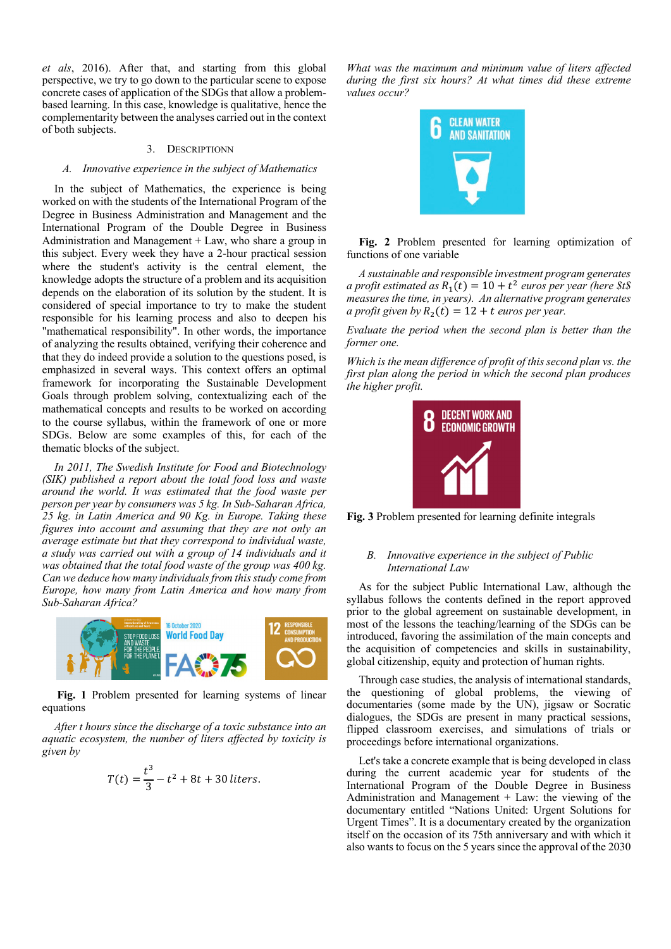*et als*, 2016). After that, and starting from this global perspective, we try to go down to the particular scene to expose concrete cases of application of the SDGs that allow a problembased learning. In this case, knowledge is qualitative, hence the complementarity between the analyses carried out in the context of both subjects.

#### 3. DESCRIPTIONN

## *A. Innovative experience in the subject of Mathematics*

In the subject of Mathematics, the experience is being worked on with the students of the International Program of the Degree in Business Administration and Management and the International Program of the Double Degree in Business Administration and Management + Law, who share a group in this subject. Every week they have a 2-hour practical session where the student's activity is the central element, the knowledge adopts the structure of a problem and its acquisition depends on the elaboration of its solution by the student. It is considered of special importance to try to make the student responsible for his learning process and also to deepen his "mathematical responsibility". In other words, the importance of analyzing the results obtained, verifying their coherence and that they do indeed provide a solution to the questions posed, is emphasized in several ways. This context offers an optimal framework for incorporating the Sustainable Development Goals through problem solving, contextualizing each of the mathematical concepts and results to be worked on according to the course syllabus, within the framework of one or more SDGs. Below are some examples of this, for each of the thematic blocks of the subject.

*In 2011, The Swedish Institute for Food and Biotechnology (SIK) published a report about the total food loss and waste around the world. It was estimated that the food waste per person per year by consumers was 5 kg. In Sub-Saharan Africa, 25 kg. in Latin America and 90 Kg. in Europe. Taking these figures into account and assuming that they are not only an average estimate but that they correspond to individual waste, a study was carried out with a group of 14 individuals and it was obtained that the total food waste of the group was 400 kg. Can we deduce how many individuals from this study come from Europe, how many from Latin America and how many from Sub-Saharan Africa?*



**Fig. 1** Problem presented for learning systems of linear equations

*After t hours since the discharge of a toxic substance into an aquatic ecosystem, the number of liters affected by toxicity is given by*

$$
T(t) = \frac{t^3}{3} - t^2 + 8t + 30 \text{ liters.}
$$

*What was the maximum and minimum value of liters affected during the first six hours? At what times did these extreme values occur?*



**Fig. 2** Problem presented for learning optimization of functions of one variable

*A sustainable and responsible investment program generates a profit estimated as*  $R_1(t) = 10 + t^2$  *euros per year (here \$t\$ measures the time, in years). An alternative program generates a profit given by*  $R_2(t) = 12 + t$  *euros per year.* 

*Evaluate the period when the second plan is better than the former one.*

*Which is the mean difference of profit of this second plan vs. the first plan along the period in which the second plan produces the higher profit.*



**Fig. 3** Problem presented for learning definite integrals

# *B. Innovative experience in the subject of Public International Law*

As for the subject Public International Law, although the syllabus follows the contents defined in the report approved prior to the global agreement on sustainable development, in most of the lessons the teaching/learning of the SDGs can be introduced, favoring the assimilation of the main concepts and the acquisition of competencies and skills in sustainability, global citizenship, equity and protection of human rights.

Through case studies, the analysis of international standards, the questioning of global problems, the viewing of documentaries (some made by the UN), jigsaw or Socratic dialogues, the SDGs are present in many practical sessions, flipped classroom exercises, and simulations of trials or proceedings before international organizations.

Let's take a concrete example that is being developed in class during the current academic year for students of the International Program of the Double Degree in Business Administration and Management  $+$  Law: the viewing of the documentary entitled "Nations United: Urgent Solutions for Urgent Times". It is a documentary created by the organization itself on the occasion of its 75th anniversary and with which it also wants to focus on the 5 years since the approval of the 2030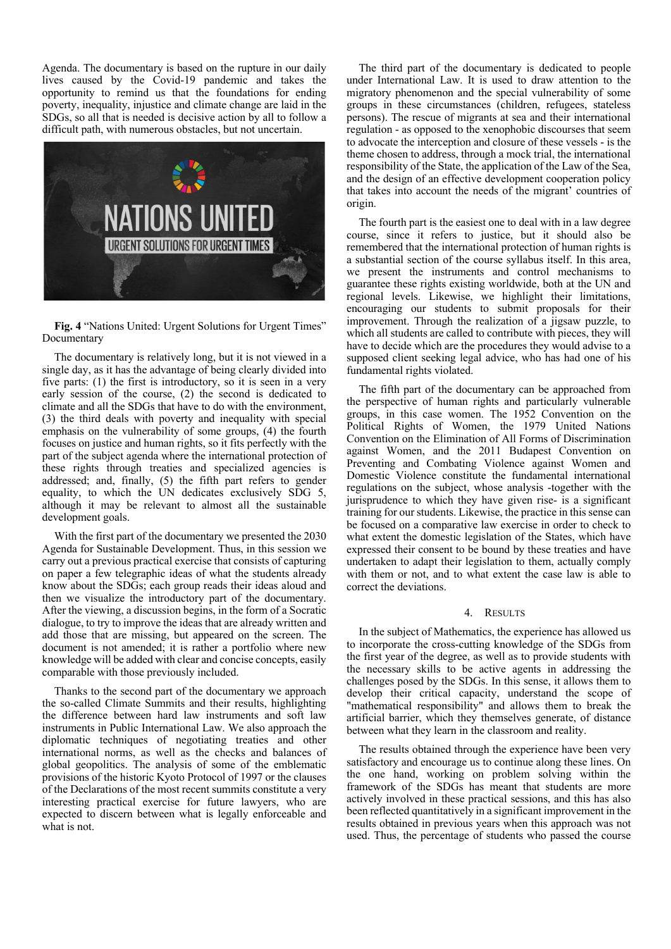Agenda. The documentary is based on the rupture in our daily lives caused by the Covid-19 pandemic and takes the opportunity to remind us that the foundations for ending poverty, inequality, injustice and climate change are laid in the SDGs, so all that is needed is decisive action by all to follow a difficult path, with numerous obstacles, but not uncertain.



**Fig. 4** "Nations United: Urgent Solutions for Urgent Times" Documentary

The documentary is relatively long, but it is not viewed in a single day, as it has the advantage of being clearly divided into five parts: (1) the first is introductory, so it is seen in a very early session of the course, (2) the second is dedicated to climate and all the SDGs that have to do with the environment, (3) the third deals with poverty and inequality with special emphasis on the vulnerability of some groups, (4) the fourth focuses on justice and human rights, so it fits perfectly with the part of the subject agenda where the international protection of these rights through treaties and specialized agencies is addressed; and, finally, (5) the fifth part refers to gender equality, to which the UN dedicates exclusively SDG 5, although it may be relevant to almost all the sustainable development goals.

With the first part of the documentary we presented the 2030 Agenda for Sustainable Development. Thus, in this session we carry out a previous practical exercise that consists of capturing on paper a few telegraphic ideas of what the students already know about the SDGs; each group reads their ideas aloud and then we visualize the introductory part of the documentary. After the viewing, a discussion begins, in the form of a Socratic dialogue, to try to improve the ideas that are already written and add those that are missing, but appeared on the screen. The document is not amended; it is rather a portfolio where new knowledge will be added with clear and concise concepts, easily comparable with those previously included.

Thanks to the second part of the documentary we approach the so-called Climate Summits and their results, highlighting the difference between hard law instruments and soft law instruments in Public International Law. We also approach the diplomatic techniques of negotiating treaties and other international norms, as well as the checks and balances of global geopolitics. The analysis of some of the emblematic provisions of the historic Kyoto Protocol of 1997 or the clauses of the Declarations of the most recent summits constitute a very interesting practical exercise for future lawyers, who are expected to discern between what is legally enforceable and what is not.

The third part of the documentary is dedicated to people under International Law. It is used to draw attention to the migratory phenomenon and the special vulnerability of some groups in these circumstances (children, refugees, stateless persons). The rescue of migrants at sea and their international regulation - as opposed to the xenophobic discourses that seem to advocate the interception and closure of these vessels - is the theme chosen to address, through a mock trial, the international responsibility of the State, the application of the Law of the Sea, and the design of an effective development cooperation policy that takes into account the needs of the migrant' countries of origin.

The fourth part is the easiest one to deal with in a law degree course, since it refers to justice, but it should also be remembered that the international protection of human rights is a substantial section of the course syllabus itself. In this area, we present the instruments and control mechanisms to guarantee these rights existing worldwide, both at the UN and regional levels. Likewise, we highlight their limitations, encouraging our students to submit proposals for their improvement. Through the realization of a jigsaw puzzle, to which all students are called to contribute with pieces, they will have to decide which are the procedures they would advise to a supposed client seeking legal advice, who has had one of his fundamental rights violated.

The fifth part of the documentary can be approached from the perspective of human rights and particularly vulnerable groups, in this case women. The 1952 Convention on the Political Rights of Women, the 1979 United Nations Convention on the Elimination of All Forms of Discrimination against Women, and the 2011 Budapest Convention on Preventing and Combating Violence against Women and Domestic Violence constitute the fundamental international regulations on the subject, whose analysis -together with the jurisprudence to which they have given rise- is a significant training for our students. Likewise, the practice in this sense can be focused on a comparative law exercise in order to check to what extent the domestic legislation of the States, which have expressed their consent to be bound by these treaties and have undertaken to adapt their legislation to them, actually comply with them or not, and to what extent the case law is able to correct the deviations.

#### 4. RESULTS

In the subject of Mathematics, the experience has allowed us to incorporate the cross-cutting knowledge of the SDGs from the first year of the degree, as well as to provide students with the necessary skills to be active agents in addressing the challenges posed by the SDGs. In this sense, it allows them to develop their critical capacity, understand the scope of "mathematical responsibility" and allows them to break the artificial barrier, which they themselves generate, of distance between what they learn in the classroom and reality.

The results obtained through the experience have been very satisfactory and encourage us to continue along these lines. On the one hand, working on problem solving within the framework of the SDGs has meant that students are more actively involved in these practical sessions, and this has also been reflected quantitatively in a significant improvement in the results obtained in previous years when this approach was not used. Thus, the percentage of students who passed the course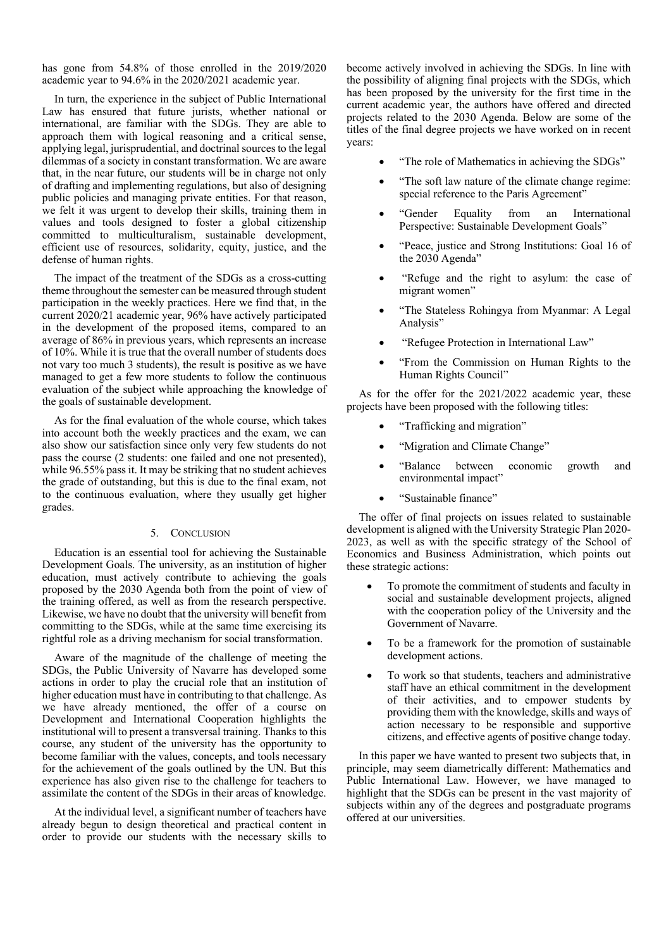has gone from 54.8% of those enrolled in the 2019/2020 academic year to 94.6% in the 2020/2021 academic year.

In turn, the experience in the subject of Public International Law has ensured that future jurists, whether national or international, are familiar with the SDGs. They are able to approach them with logical reasoning and a critical sense, applying legal, jurisprudential, and doctrinal sources to the legal dilemmas of a society in constant transformation. We are aware that, in the near future, our students will be in charge not only of drafting and implementing regulations, but also of designing public policies and managing private entities. For that reason, we felt it was urgent to develop their skills, training them in values and tools designed to foster a global citizenship committed to multiculturalism, sustainable development, efficient use of resources, solidarity, equity, justice, and the defense of human rights.

The impact of the treatment of the SDGs as a cross-cutting theme throughout the semester can be measured through student participation in the weekly practices. Here we find that, in the current 2020/21 academic year, 96% have actively participated in the development of the proposed items, compared to an average of 86% in previous years, which represents an increase of 10%. While it is true that the overall number of students does not vary too much 3 students), the result is positive as we have managed to get a few more students to follow the continuous evaluation of the subject while approaching the knowledge of the goals of sustainable development.

As for the final evaluation of the whole course, which takes into account both the weekly practices and the exam, we can also show our satisfaction since only very few students do not pass the course (2 students: one failed and one not presented), while 96.55% pass it. It may be striking that no student achieves the grade of outstanding, but this is due to the final exam, not to the continuous evaluation, where they usually get higher grades.

#### 5. CONCLUSION

Education is an essential tool for achieving the Sustainable Development Goals. The university, as an institution of higher education, must actively contribute to achieving the goals proposed by the 2030 Agenda both from the point of view of the training offered, as well as from the research perspective. Likewise, we have no doubt that the university will benefit from committing to the SDGs, while at the same time exercising its rightful role as a driving mechanism for social transformation.

Aware of the magnitude of the challenge of meeting the SDGs, the Public University of Navarre has developed some actions in order to play the crucial role that an institution of higher education must have in contributing to that challenge. As we have already mentioned, the offer of a course on Development and International Cooperation highlights the institutional will to present a transversal training. Thanks to this course, any student of the university has the opportunity to become familiar with the values, concepts, and tools necessary for the achievement of the goals outlined by the UN. But this experience has also given rise to the challenge for teachers to assimilate the content of the SDGs in their areas of knowledge.

At the individual level, a significant number of teachers have already begun to design theoretical and practical content in order to provide our students with the necessary skills to become actively involved in achieving the SDGs. In line with the possibility of aligning final projects with the SDGs, which has been proposed by the university for the first time in the current academic year, the authors have offered and directed projects related to the 2030 Agenda. Below are some of the titles of the final degree projects we have worked on in recent years:

- "The role of Mathematics in achieving the SDGs"
- "The soft law nature of the climate change regime: special reference to the Paris Agreement"
- "Gender Equality from an International Perspective: Sustainable Development Goals"
- "Peace, justice and Strong Institutions: Goal 16 of the 2030 Agenda"
- "Refuge and the right to asylum: the case of migrant women"
- "The Stateless Rohingya from Myanmar: A Legal Analysis"
- "Refugee Protection in International Law"
- "From the Commission on Human Rights to the Human Rights Council"

As for the offer for the 2021/2022 academic year, these projects have been proposed with the following titles:

- "Trafficking and migration"
- "Migration and Climate Change"
- "Balance between economic growth and environmental impact"
- "Sustainable finance"

The offer of final projects on issues related to sustainable development is aligned with the University Strategic Plan 2020- 2023, as well as with the specific strategy of the School of Economics and Business Administration, which points out these strategic actions:

- To promote the commitment of students and faculty in social and sustainable development projects, aligned with the cooperation policy of the University and the Government of Navarre.
- To be a framework for the promotion of sustainable development actions.
- To work so that students, teachers and administrative staff have an ethical commitment in the development of their activities, and to empower students by providing them with the knowledge, skills and ways of action necessary to be responsible and supportive citizens, and effective agents of positive change today.

In this paper we have wanted to present two subjects that, in principle, may seem diametrically different: Mathematics and Public International Law. However, we have managed to highlight that the SDGs can be present in the vast majority of subjects within any of the degrees and postgraduate programs offered at our universities.